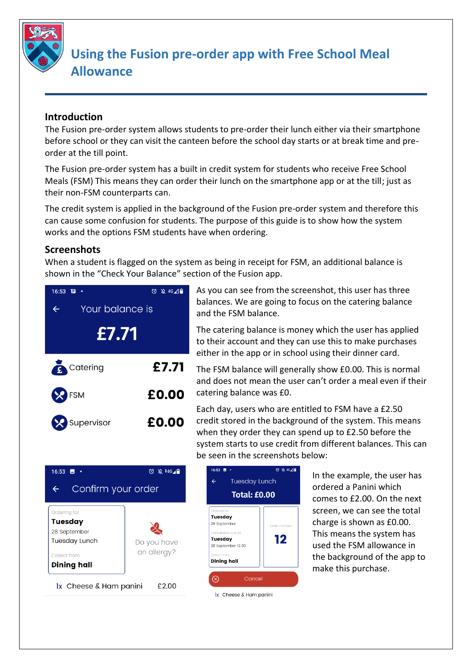

## **Using the Fusion pre-order app with Free School Meal Allowance**

## **Introduction**

The Fusion pre-order system allows students to pre-order their lunch either via their smartphone before school or they can visit the canteen before the school day starts or at break time and preorder at the till point.

The Fusion pre-order system has a built in credit system for students who receive Free School Meals (FSM) This means they can order their lunch on the smartphone app or at the till; just as their non-FSM counterparts can.

The credit system is applied in the background of the Fusion pre-order system and therefore this can cause some confusion for students. The purpose of this guide is to show how the system works and the options FSM students have when ordering.

## **Screenshots**

When a student is flagged on the system as being in receipt for FSM, an additional balance is shown in the "Check Your Balance" section of the Fusion app.



As you can see from the screenshot, this user has three balances. We are going to focus on the catering balance and the FSM balance.

The catering balance is money which the user has applied to their account and they can use this to make purchases either in the app or in school using their dinner card.

The FSM balance will generally show £0.00. This is normal and does not mean the user can't order a meal even if their catering balance was £0.

Each day, users who are entitled to FSM have a £2.50 credit stored in the background of the system. This means when they order they can spend up to £2.50 before the system starts to use credit from different balances. This can be seen in the screenshots below:





In the example, the user has ordered a Panini which comes to £2.00. On the next screen, we can see the total charge is shown as £0.00. This means the system has used the FSM allowance in the background of the app to make this purchase.